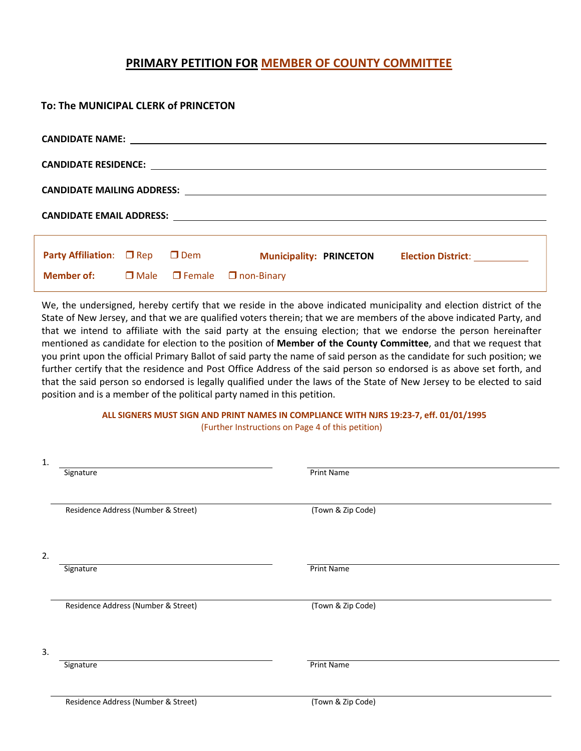## **PRIMARY PETITION FOR MEMBER OF COUNTY COMMITTEE**

| To: The MUNICIPAL CLERK of PRINCETON                          |  |  |                                                                                   |  |  |  |  |  |  |
|---------------------------------------------------------------|--|--|-----------------------------------------------------------------------------------|--|--|--|--|--|--|
|                                                               |  |  |                                                                                   |  |  |  |  |  |  |
|                                                               |  |  |                                                                                   |  |  |  |  |  |  |
|                                                               |  |  |                                                                                   |  |  |  |  |  |  |
|                                                               |  |  |                                                                                   |  |  |  |  |  |  |
|                                                               |  |  | Party Affiliation: □ Rep □ Dem Municipality: PRINCETON Election District: _______ |  |  |  |  |  |  |
| <b>Member of:</b> $\Box$ Male $\Box$ Female $\Box$ non-Binary |  |  |                                                                                   |  |  |  |  |  |  |

We, the undersigned, hereby certify that we reside in the above indicated municipality and election district of the State of New Jersey, and that we are qualified voters therein; that we are members of the above indicated Party, and that we intend to affiliate with the said party at the ensuing election; that we endorse the person hereinafter mentioned as candidate for election to the position of **Member of the County Committee**, and that we request that you print upon the official Primary Ballot of said party the name of said person as the candidate for such position; we further certify that the residence and Post Office Address of the said person so endorsed is as above set forth, and that the said person so endorsed is legally qualified under the laws of the State of New Jersey to be elected to said position and is a member of the political party named in this petition.

#### **ALL SIGNERS MUST SIGN AND PRINT NAMES IN COMPLIANCE WITH NJRS 19:23-7, eff. 01/01/1995** (Further Instructions on Page 4 of this petition)

| 1. |                                     |                   |  |
|----|-------------------------------------|-------------------|--|
|    | Signature                           | <b>Print Name</b> |  |
|    |                                     |                   |  |
|    |                                     |                   |  |
|    | Residence Address (Number & Street) | (Town & Zip Code) |  |
|    |                                     |                   |  |
|    |                                     |                   |  |
|    |                                     |                   |  |
| 2. |                                     |                   |  |
|    | Signature                           | <b>Print Name</b> |  |
|    |                                     |                   |  |
|    |                                     |                   |  |
|    | Residence Address (Number & Street) | (Town & Zip Code) |  |
|    |                                     |                   |  |
|    |                                     |                   |  |
| 3. |                                     |                   |  |
|    | Signature                           | <b>Print Name</b> |  |
|    |                                     |                   |  |
|    |                                     |                   |  |
|    | Residence Address (Number & Street) | (Town & Zip Code) |  |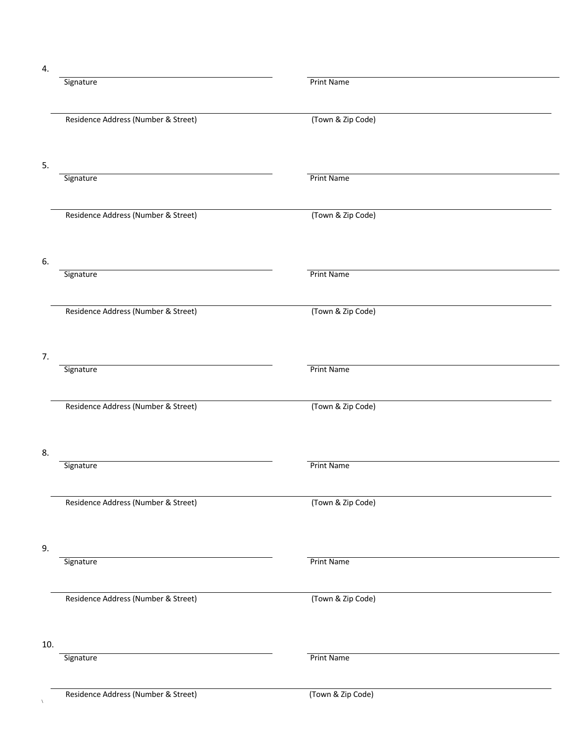4.

|     | Signature                           | <b>Print Name</b> |
|-----|-------------------------------------|-------------------|
|     | Residence Address (Number & Street) | (Town & Zip Code) |
|     |                                     |                   |
| 5.  |                                     |                   |
|     | Signature                           | <b>Print Name</b> |
|     | Residence Address (Number & Street) | (Town & Zip Code) |
| 6.  | Signature                           | <b>Print Name</b> |
|     | Residence Address (Number & Street) | (Town & Zip Code) |
| 7.  |                                     |                   |
|     | Signature                           | <b>Print Name</b> |
|     | Residence Address (Number & Street) | (Town & Zip Code) |
| 8.  |                                     |                   |
|     | Signature                           | <b>Print Name</b> |
|     | Residence Address (Number & Street) | (Town & Zip Code) |
| 9.  |                                     |                   |
|     | Signature                           | <b>Print Name</b> |
|     | Residence Address (Number & Street) | (Town & Zip Code) |
| 10. | Signature                           | <b>Print Name</b> |
|     | Residence Address (Number & Street) | (Town & Zip Code) |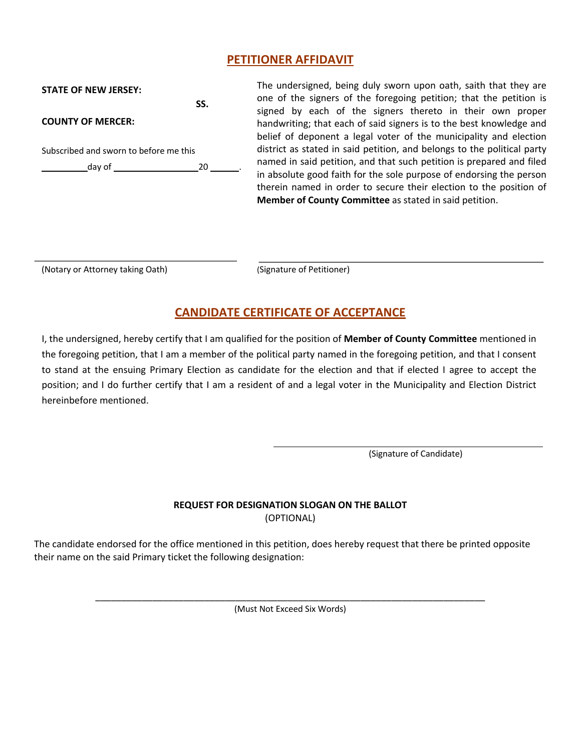#### **PETITIONER AFFIDAVIT**

| <b>STATE OF NEW JERSEY:</b>            |     |  |  |
|----------------------------------------|-----|--|--|
|                                        | SS. |  |  |
| <b>COUNTY OF MERCER:</b>               |     |  |  |
| Subscribed and sworn to before me this |     |  |  |
| day of $\_\_$                          | 20  |  |  |
|                                        |     |  |  |
|                                        |     |  |  |

The undersigned, being duly sworn upon oath, saith that they are one of the signers of the foregoing petition; that the petition is signed by each of the signers thereto in their own proper handwriting; that each of said signers is to the best knowledge and belief of deponent a legal voter of the municipality and election district as stated in said petition, and belongs to the political party named in said petition, and that such petition is prepared and filed in absolute good faith for the sole purpose of endorsing the person therein named in order to secure their election to the position of **Member of County Committee** as stated in said petition.

(Notary or Attorney taking Oath) (Signature of Petitioner)

## **CANDIDATE CERTIFICATE OF ACCEPTANCE**

I, the undersigned, hereby certify that I am qualified for the position of **Member of County Committee** mentioned in the foregoing petition, that I am a member of the political party named in the foregoing petition, and that I consent to stand at the ensuing Primary Election as candidate for the election and that if elected I agree to accept the position; and I do further certify that I am a resident of and a legal voter in the Municipality and Election District hereinbefore mentioned.

(Signature of Candidate)

#### **REQUEST FOR DESIGNATION SLOGAN ON THE BALLOT**  (OPTIONAL)

The candidate endorsed for the office mentioned in this petition, does hereby request that there be printed opposite their name on the said Primary ticket the following designation:

> \_\_\_\_\_\_\_\_\_\_\_\_\_\_\_\_\_\_\_\_\_\_\_\_\_\_\_\_\_\_\_\_\_\_\_\_\_\_\_\_\_\_\_\_\_\_\_\_\_\_\_\_\_\_\_\_\_\_\_\_\_\_\_\_\_\_\_\_\_\_\_\_\_\_\_ (Must Not Exceed Six Words)